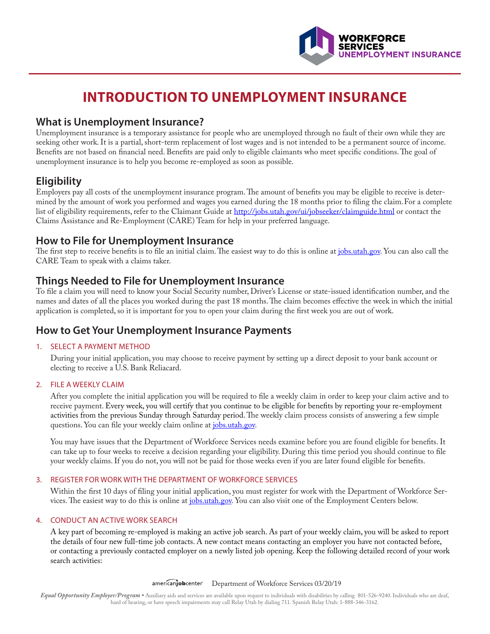

# **INTRODUCTION TO UNEMPLOYMENT INSURANCE**

### **What is Unemployment Insurance?**

Unemployment insurance is a temporary assistance for people who are unemployed through no fault of their own while they are seeking other work. It is a partial, short-term replacement of lost wages and is not intended to be a permanent source of income. Benefits are not based on financial need. Benefits are paid only to eligible claimants who meet specific conditions. The goal of unemployment insurance is to help you become re-employed as soon as possible.

# **Eligibility**

Employers pay all costs of the unemployment insurance program. The amount of benefits you may be eligible to receive is determined by the amount of work you performed and wages you earned during the 18 months prior to filing the claim.For a complete list of eligibility requirements, refer to the Claimant Guide at http://jobs.utah.gov/ui/jobseeker/claimguide.html or contact the Claims Assistance and Re-Employment (CARE) Team for help in your preferred language.

### **How to File for Unemployment Insurance**

The first step to receive benefits is to file an initial claim. The easiest way to do this is online at jobs.utah.gov. You can also call the CARE Team to speak with a claims taker.

# **Things Needed to File for Unemployment Insurance**

To file a claim you will need to know your Social Security number, Driver's License or state-issued identification number, and the names and dates of all the places you worked during the past 18 months. The claim becomes effective the week in which the initial application is completed, so it is important for you to open your claim during the first week you are out of work.

# **How to Get Your Unemployment Insurance Payments**

#### 1. SELECT A PAYMENT METHOD

During your initial application, you may choose to receive payment by setting up a direct deposit to your bank account or electing to receive a U.S. Bank Reliacard.

#### 2. FILE A WEEKLY CLAIM

After you complete the initial application you will be required to file a weekly claim in order to keep your claim active and to receive payment. Every week, you will certify that you continue to be eligible for benefits by reporting your re-employment activities from the previous Sunday through Saturday period. The weekly claim process consists of answering a few simple questions. You can file your weekly claim online at jobs.utah.gov.

You may have issues that the Department of Workforce Services needs examine before you are found eligible for benefits. It can take up to four weeks to receive a decision regarding your eligibility. During this time period you should continue to file your weekly claims. If you do not, you will not be paid for those weeks even if you are later found eligible for benefits.

#### 3. REGISTER FOR WORK WITH THE DEPARTMENT OF WORKFORCE SERVICES

Within the first 10 days of filing your initial application, you must register for work with the Department of Workforce Services. The easiest way to do this is online at jobs.utah.gov. You can also visit one of the Employment Centers below.

#### 4. CONDUCT AN ACTIVE WORK SEARCH

A key part of becoming re-employed is making an active job search. As part of your weekly claim, you will be asked to report the details of four new full-time job contacts. A new contact means contacting an employer you have not contacted before, or contacting a previously contacted employer on a newly listed job opening. Keep the following detailed record of your work search activities:

americanjobcenter Department of Workforce Services 03/20/19

*Equal Opportunity Employer/Program •* Auxiliary aids and services are available upon request to individuals with disabilities by calling 801-526-9240. Individuals who are deaf, hard of hearing, or have speech impairments may call Relay Utah by dialing 711. Spanish Relay Utah: 1-888-346-3162.